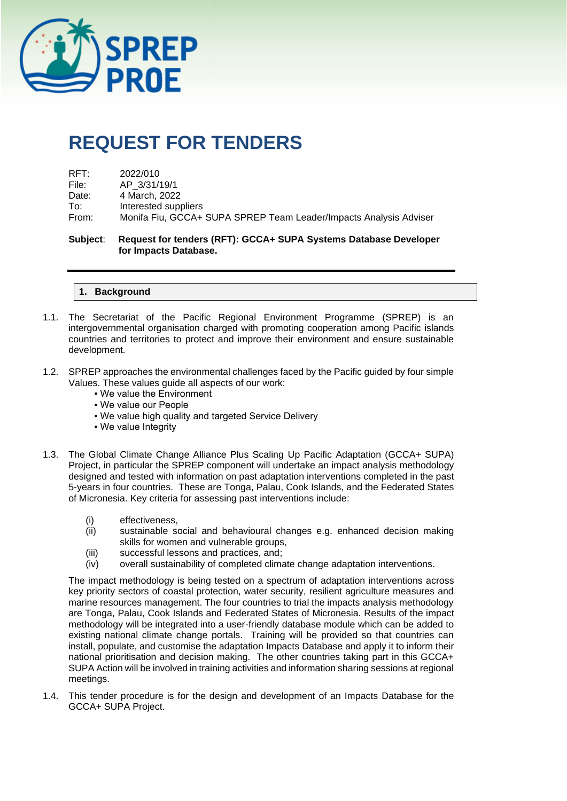

# **REQUEST FOR TENDERS**

| $\mathsf{RFT}$ : | 2022/010                                                          |
|------------------|-------------------------------------------------------------------|
| File:            | AP 3/31/19/1                                                      |
| Date:            | 4 March. 2022                                                     |
| To:              | Interested suppliers                                              |
| From:            | Monifa Fiu, GCCA+ SUPA SPREP Team Leader/Impacts Analysis Adviser |
|                  |                                                                   |

**Subject**: **Request for tenders (RFT): GCCA+ SUPA Systems Database Developer for Impacts Database.**

#### **1. Background**

- 1.1. The Secretariat of the Pacific Regional Environment Programme (SPREP) is an intergovernmental organisation charged with promoting cooperation among Pacific islands countries and territories to protect and improve their environment and ensure sustainable development.
- 1.2. SPREP approaches the environmental challenges faced by the Pacific guided by four simple Values. These values guide all aspects of our work:
	- We value the Environment
	- We value our People
	- . We value high quality and targeted Service Delivery
	- We value Integrity
- 1.3. The Global Climate Change Alliance Plus Scaling Up Pacific Adaptation (GCCA+ SUPA) Project, in particular the SPREP component will undertake an impact analysis methodology designed and tested with information on past adaptation interventions completed in the past 5-years in four countries. These are Tonga, Palau, Cook Islands, and the Federated States of Micronesia. Key criteria for assessing past interventions include:
	- (i) effectiveness,
	- (ii) sustainable social and behavioural changes e.g. enhanced decision making skills for women and vulnerable groups,
	- (iii) successful lessons and practices, and;
	- (iv) overall sustainability of completed climate change adaptation interventions.

The impact methodology is being tested on a spectrum of adaptation interventions across key priority sectors of coastal protection, water security, resilient agriculture measures and marine resources management. The four countries to trial the impacts analysis methodology are Tonga, Palau, Cook Islands and Federated States of Micronesia. Results of the impact methodology will be integrated into a user-friendly database module which can be added to existing national climate change portals. Training will be provided so that countries can install, populate, and customise the adaptation Impacts Database and apply it to inform their national prioritisation and decision making. The other countries taking part in this GCCA+ SUPA Action will be involved in training activities and information sharing sessions at regional meetings.

1.4. This tender procedure is for the design and development of an Impacts Database for the GCCA+ SUPA Project.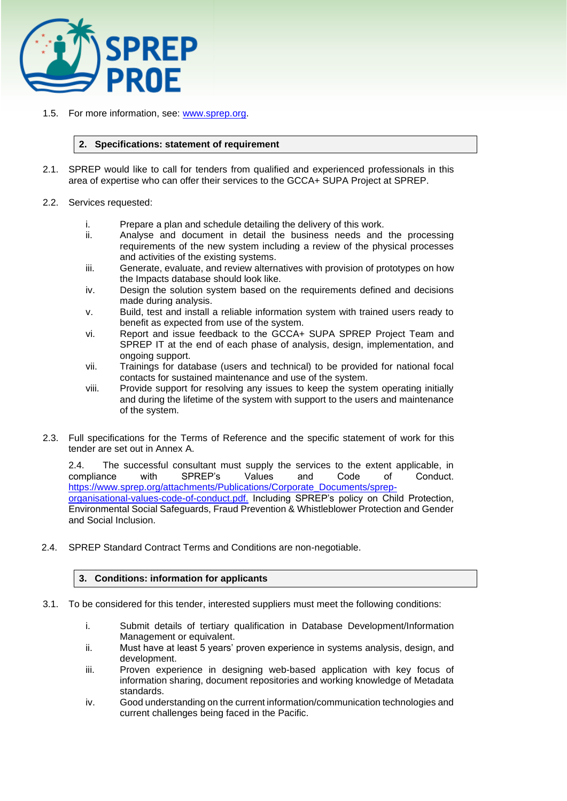

1.5. For more information, see: [www.sprep.org.](http://www.sprep.org/)

#### **2. Specifications: statement of requirement**

- 2.1. SPREP would like to call for tenders from qualified and experienced professionals in this area of expertise who can offer their services to the GCCA+ SUPA Project at SPREP.
- 2.2. Services requested:
	- i. Prepare a plan and schedule detailing the delivery of this work.
	- ii. Analyse and document in detail the business needs and the processing requirements of the new system including a review of the physical processes and activities of the existing systems.
	- iii. Generate, evaluate, and review alternatives with provision of prototypes on how the Impacts database should look like.
	- iv. Design the solution system based on the requirements defined and decisions made during analysis.
	- v. Build, test and install a reliable information system with trained users ready to benefit as expected from use of the system.
	- vi. Report and issue feedback to the GCCA+ SUPA SPREP Project Team and SPREP IT at the end of each phase of analysis, design, implementation, and ongoing support.
	- vii. Trainings for database (users and technical) to be provided for national focal contacts for sustained maintenance and use of the system.
	- viii. Provide support for resolving any issues to keep the system operating initially and during the lifetime of the system with support to the users and maintenance of the system.
- 2.3. Full specifications for the Terms of Reference and the specific statement of work for this tender are set out in Annex A.

2.4. The successful consultant must supply the services to the extent applicable, in compliance with SPREP's Values and Code of Conduct. compliance with SPREP's Values and Code of [https://www.sprep.org/attachments/Publications/Corporate\\_Documents/sprep](https://www.sprep.org/attachments/Publications/Corporate_Documents/sprep-organisational-values-code-of-conduct.pdf)[organisational-values-code-of-conduct.pdf.](https://www.sprep.org/attachments/Publications/Corporate_Documents/sprep-organisational-values-code-of-conduct.pdf) Including SPREP's policy on Child Protection, Environmental Social Safeguards, Fraud Prevention & Whistleblower Protection and Gender and Social Inclusion.

2.4. SPREP Standard Contract Terms and Conditions are non-negotiable.

## **3. Conditions: information for applicants**

- 3.1. To be considered for this tender, interested suppliers must meet the following conditions:
	- i. Submit details of tertiary qualification in Database Development/Information Management or equivalent.
	- ii. Must have at least 5 years' proven experience in systems analysis, design, and development.
	- iii. Proven experience in designing web-based application with key focus of information sharing, document repositories and working knowledge of Metadata standards.
	- iv. Good understanding on the current information/communication technologies and current challenges being faced in the Pacific.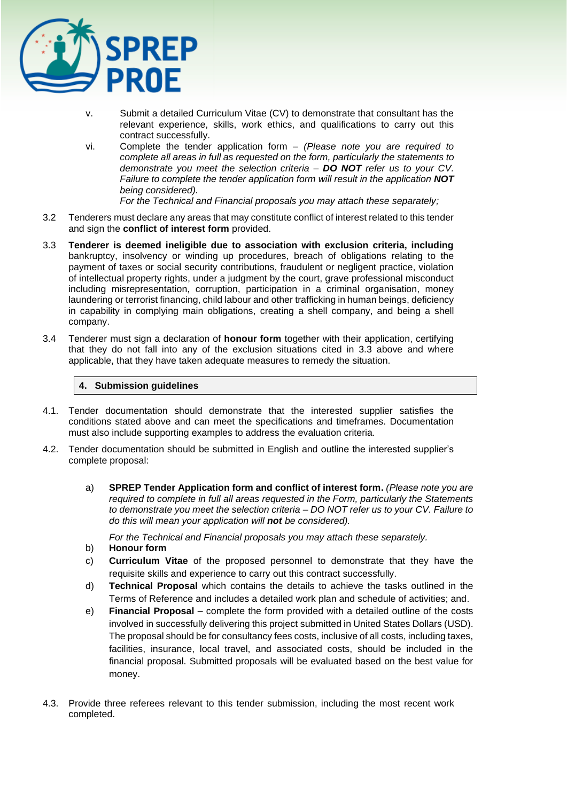

- v. Submit a detailed Curriculum Vitae (CV) to demonstrate that consultant has the relevant experience, skills, work ethics, and qualifications to carry out this contract successfully.
- vi. Complete the tender application form *(Please note you are required to complete all areas in full as requested on the form, particularly the statements to demonstrate you meet the selection criteria – DO NOT refer us to your CV. Failure to complete the tender application form will result in the application NOT being considered).*

*For the Technical and Financial proposals you may attach these separately;*

- 3.2 Tenderers must declare any areas that may constitute conflict of interest related to this tender and sign the **conflict of interest form** provided.
- 3.3 **Tenderer is deemed ineligible due to association with exclusion criteria, including**  bankruptcy, insolvency or winding up procedures, breach of obligations relating to the payment of taxes or social security contributions, fraudulent or negligent practice, violation of intellectual property rights, under a judgment by the court, grave professional misconduct including misrepresentation, corruption, participation in a criminal organisation, money laundering or terrorist financing, child labour and other trafficking in human beings, deficiency in capability in complying main obligations, creating a shell company, and being a shell company.
- 3.4 Tenderer must sign a declaration of **honour form** together with their application, certifying that they do not fall into any of the exclusion situations cited in 3.3 above and where applicable, that they have taken adequate measures to remedy the situation.

## **4. Submission guidelines**

- 4.1. Tender documentation should demonstrate that the interested supplier satisfies the conditions stated above and can meet the specifications and timeframes. Documentation must also include supporting examples to address the evaluation criteria.
- 4.2. Tender documentation should be submitted in English and outline the interested supplier's complete proposal:
	- a) **SPREP Tender Application form and conflict of interest form.** *(Please note you are required to complete in full all areas requested in the Form, particularly the Statements to demonstrate you meet the selection criteria – DO NOT refer us to your CV. Failure to do this will mean your application will not be considered).*

*For the Technical and Financial proposals you may attach these separately.* 

- b) **Honour form**
- c) **Curriculum Vitae** of the proposed personnel to demonstrate that they have the requisite skills and experience to carry out this contract successfully.
- d) **Technical Proposal** which contains the details to achieve the tasks outlined in the Terms of Reference and includes a detailed work plan and schedule of activities; and.
- e) **Financial Proposal** complete the form provided with a detailed outline of the costs involved in successfully delivering this project submitted in United States Dollars (USD). The proposal should be for consultancy fees costs, inclusive of all costs, including taxes, facilities, insurance, local travel, and associated costs, should be included in the financial proposal. Submitted proposals will be evaluated based on the best value for money.
- 4.3. Provide three referees relevant to this tender submission, including the most recent work completed.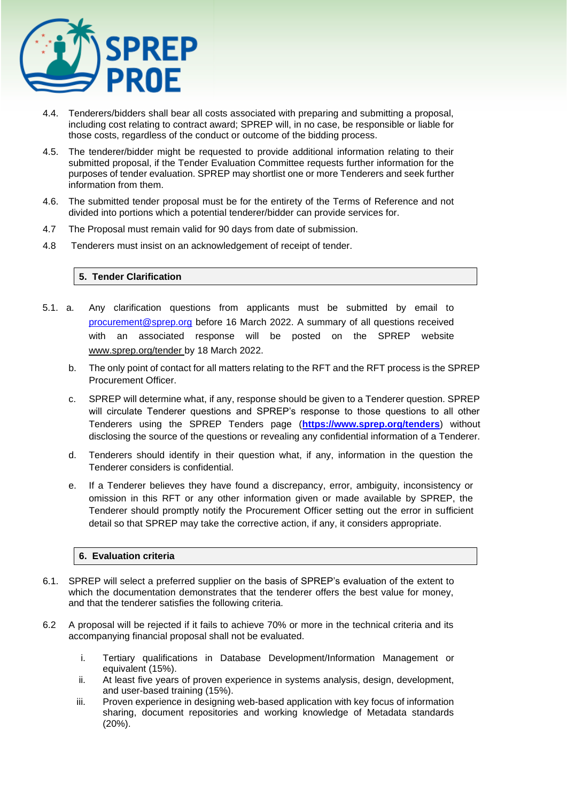

- 4.4. Tenderers/bidders shall bear all costs associated with preparing and submitting a proposal, including cost relating to contract award; SPREP will, in no case, be responsible or liable for those costs, regardless of the conduct or outcome of the bidding process.
- 4.5. The tenderer/bidder might be requested to provide additional information relating to their submitted proposal, if the Tender Evaluation Committee requests further information for the purposes of tender evaluation. SPREP may shortlist one or more Tenderers and seek further information from them.
- 4.6. The submitted tender proposal must be for the entirety of the Terms of Reference and not divided into portions which a potential tenderer/bidder can provide services for.
- 4.7 The Proposal must remain valid for 90 days from date of submission.
- 4.8 Tenderers must insist on an acknowledgement of receipt of tender.

## **5. Tender Clarification**

- 5.1. a. Any clarification questions from applicants must be submitted by email to [procurement@sprep.org](mailto:procurement@sprep.org) before 16 March 2022. A summary of all questions received with an associated response will be posted on the SPREP website www.sprep.org/tender by 18 March 2022.
	- b. The only point of contact for all matters relating to the RFT and the RFT process is the SPREP Procurement Officer.
	- c. SPREP will determine what, if any, response should be given to a Tenderer question. SPREP will circulate Tenderer questions and SPREP's response to those questions to all other Tenderers using the SPREP Tenders page (**<https://www.sprep.org/tenders>**) without disclosing the source of the questions or revealing any confidential information of a Tenderer.
	- d. Tenderers should identify in their question what, if any, information in the question the Tenderer considers is confidential.
	- e. If a Tenderer believes they have found a discrepancy, error, ambiguity, inconsistency or omission in this RFT or any other information given or made available by SPREP, the Tenderer should promptly notify the Procurement Officer setting out the error in sufficient detail so that SPREP may take the corrective action, if any, it considers appropriate.

## **6. Evaluation criteria**

- 6.1. SPREP will select a preferred supplier on the basis of SPREP's evaluation of the extent to which the documentation demonstrates that the tenderer offers the best value for money, and that the tenderer satisfies the following criteria.
- 6.2 A proposal will be rejected if it fails to achieve 70% or more in the technical criteria and its accompanying financial proposal shall not be evaluated.
	- i. Tertiary qualifications in Database Development/Information Management or equivalent (15%).
	- ii. At least five years of proven experience in systems analysis, design, development, and user-based training (15%).
	- iii. Proven experience in designing web-based application with key focus of information sharing, document repositories and working knowledge of Metadata standards (20%).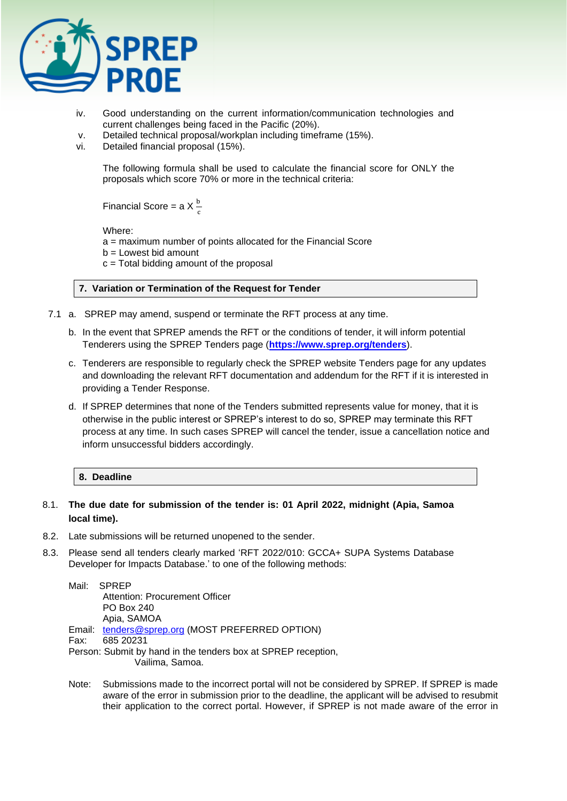

- iv. Good understanding on the current information/communication technologies and current challenges being faced in the Pacific (20%).
- v. Detailed technical proposal/workplan including timeframe (15%).
- vi. Detailed financial proposal (15%).

The following formula shall be used to calculate the financial score for ONLY the proposals which score 70% or more in the technical criteria:

Financial Score = a X $\frac{b}{c}$ 

Where:

a = maximum number of points allocated for the Financial Score

- b = Lowest bid amount
- $c =$  Total bidding amount of the proposal

## **7. Variation or Termination of the Request for Tender**

- 7.1 a. SPREP may amend, suspend or terminate the RFT process at any time.
	- b. In the event that SPREP amends the RFT or the conditions of tender, it will inform potential Tenderers using the SPREP Tenders page (**<https://www.sprep.org/tenders>**).
	- c. Tenderers are responsible to regularly check the SPREP website Tenders page for any updates and downloading the relevant RFT documentation and addendum for the RFT if it is interested in providing a Tender Response.
	- d. If SPREP determines that none of the Tenders submitted represents value for money, that it is otherwise in the public interest or SPREP's interest to do so, SPREP may terminate this RFT process at any time. In such cases SPREP will cancel the tender, issue a cancellation notice and inform unsuccessful bidders accordingly.
		- **8. Deadline**

## 8.1. **The due date for submission of the tender is: 01 April 2022, midnight (Apia, Samoa local time).**

- 8.2. Late submissions will be returned unopened to the sender.
- 8.3. Please send all tenders clearly marked 'RFT 2022/010: GCCA+ SUPA Systems Database Developer for Impacts Database.' to one of the following methods:

Mail: SPREP Attention: Procurement Officer PO Box 240 Apia, SAMOA Email: [tenders@sprep.org](mailto:tenders@sprep.org) (MOST PREFERRED OPTION) Fax: 685 20231 Person: Submit by hand in the tenders box at SPREP reception, Vailima, Samoa.

Note: Submissions made to the incorrect portal will not be considered by SPREP. If SPREP is made aware of the error in submission prior to the deadline, the applicant will be advised to resubmit their application to the correct portal. However, if SPREP is not made aware of the error in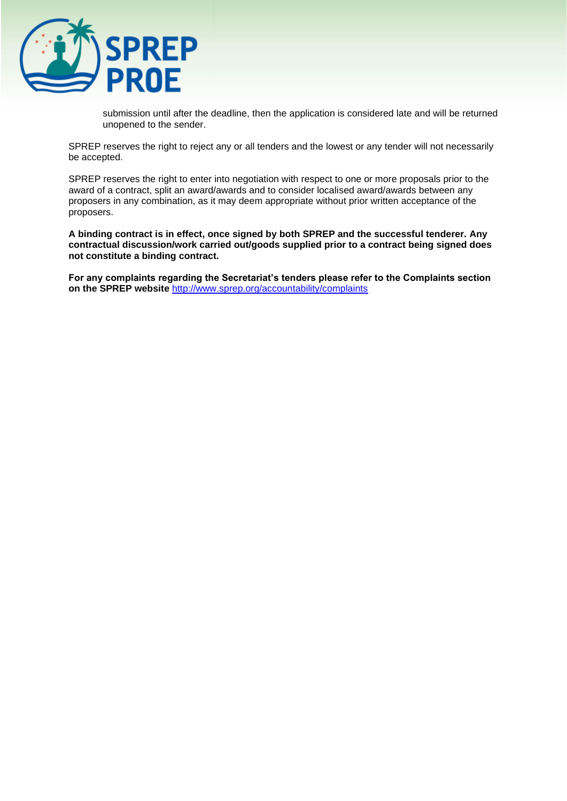

submission until after the deadline, then the application is considered late and will be returned unopened to the sender.

SPREP reserves the right to reject any or all tenders and the lowest or any tender will not necessarily be accepted.

SPREP reserves the right to enter into negotiation with respect to one or more proposals prior to the award of a contract, split an award/awards and to consider localised award/awards between any proposers in any combination, as it may deem appropriate without prior written acceptance of the proposers.

**A binding contract is in effect, once signed by both SPREP and the successful tenderer. Any contractual discussion/work carried out/goods supplied prior to a contract being signed does not constitute a binding contract.** 

**For any complaints regarding the Secretariat's tenders please refer to the Complaints section on the SPREP website** <http://www.sprep.org/accountability/complaints>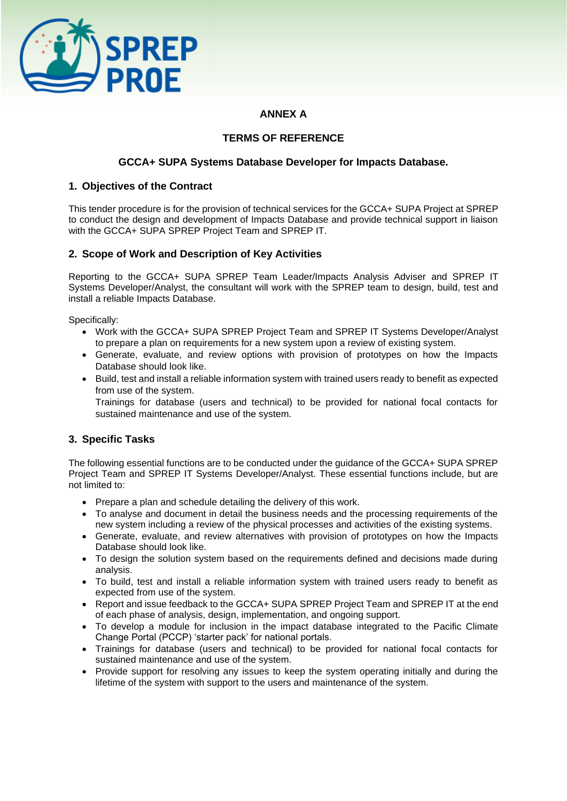

# **ANNEX A**

## **TERMS OF REFERENCE**

## **GCCA+ SUPA Systems Database Developer for Impacts Database.**

## **1. Objectives of the Contract**

This tender procedure is for the provision of technical services for the GCCA+ SUPA Project at SPREP to conduct the design and development of Impacts Database and provide technical support in liaison with the GCCA+ SUPA SPREP Project Team and SPREP IT.

## **2. Scope of Work and Description of Key Activities**

Reporting to the GCCA+ SUPA SPREP Team Leader/Impacts Analysis Adviser and SPREP IT Systems Developer/Analyst, the consultant will work with the SPREP team to design, build, test and install a reliable Impacts Database.

Specifically:

- Work with the GCCA+ SUPA SPREP Project Team and SPREP IT Systems Developer/Analyst to prepare a plan on requirements for a new system upon a review of existing system.
- Generate, evaluate, and review options with provision of prototypes on how the Impacts Database should look like.
- Build, test and install a reliable information system with trained users ready to benefit as expected from use of the system.

Trainings for database (users and technical) to be provided for national focal contacts for sustained maintenance and use of the system.

## **3. Specific Tasks**

The following essential functions are to be conducted under the guidance of the GCCA+ SUPA SPREP Project Team and SPREP IT Systems Developer/Analyst. These essential functions include, but are not limited to:

- Prepare a plan and schedule detailing the delivery of this work.
- To analyse and document in detail the business needs and the processing requirements of the new system including a review of the physical processes and activities of the existing systems.
- Generate, evaluate, and review alternatives with provision of prototypes on how the Impacts Database should look like.
- To design the solution system based on the requirements defined and decisions made during analysis.
- To build, test and install a reliable information system with trained users ready to benefit as expected from use of the system.
- Report and issue feedback to the GCCA+ SUPA SPREP Project Team and SPREP IT at the end of each phase of analysis, design, implementation, and ongoing support.
- To develop a module for inclusion in the impact database integrated to the Pacific Climate Change Portal (PCCP) 'starter pack' for national portals.
- Trainings for database (users and technical) to be provided for national focal contacts for sustained maintenance and use of the system.
- Provide support for resolving any issues to keep the system operating initially and during the lifetime of the system with support to the users and maintenance of the system.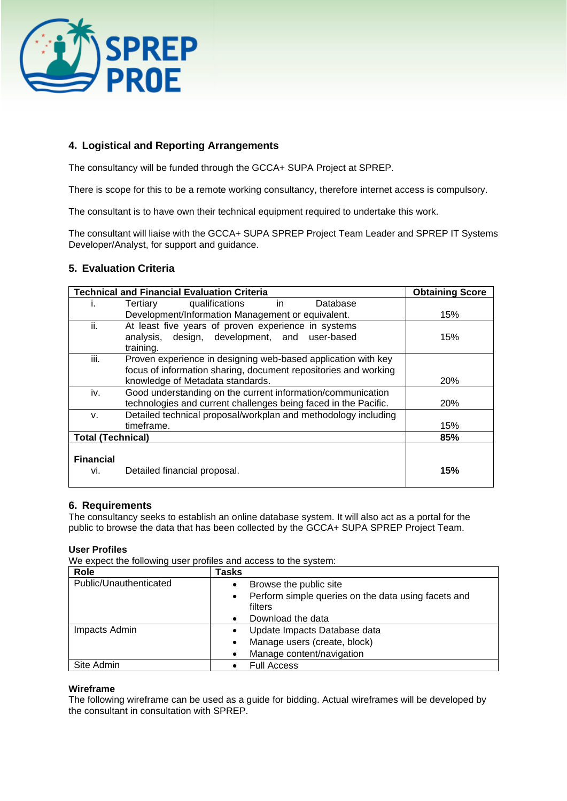

# **4. Logistical and Reporting Arrangements**

The consultancy will be funded through the GCCA+ SUPA Project at SPREP.

There is scope for this to be a remote working consultancy, therefore internet access is compulsory.

The consultant is to have own their technical equipment required to undertake this work.

The consultant will liaise with the GCCA+ SUPA SPREP Project Team Leader and SPREP IT Systems Developer/Analyst, for support and guidance.

## **5. Evaluation Criteria**

|                          | <b>Technical and Financial Evaluation Criteria</b>              | <b>Obtaining Score</b> |
|--------------------------|-----------------------------------------------------------------|------------------------|
| ı.                       | qualifications<br>Database<br>Tertiary<br>in.                   |                        |
|                          | Development/Information Management or equivalent.               | 15%                    |
| ii.                      | At least five years of proven experience in systems             |                        |
|                          | analysis, design, development, and user-based                   | 15%                    |
|                          | training.                                                       |                        |
| iii.                     | Proven experience in designing web-based application with key   |                        |
|                          | focus of information sharing, document repositories and working |                        |
|                          | knowledge of Metadata standards.                                | 20%                    |
| iv.                      | Good understanding on the current information/communication     |                        |
|                          | technologies and current challenges being faced in the Pacific. | 20%                    |
| V.                       | Detailed technical proposal/workplan and methodology including  |                        |
|                          | timeframe.                                                      | 15%                    |
| <b>Total (Technical)</b> |                                                                 | 85%                    |
|                          |                                                                 |                        |
| <b>Financial</b>         |                                                                 |                        |
| Vİ.                      | Detailed financial proposal.                                    | 15%                    |
|                          |                                                                 |                        |

## **6. Requirements**

The consultancy seeks to establish an online database system. It will also act as a portal for the public to browse the data that has been collected by the GCCA+ SUPA SPREP Project Team.

## **User Profiles**

We expect the following user profiles and access to the system:

| Role                   | Tasks                                                            |
|------------------------|------------------------------------------------------------------|
| Public/Unauthenticated | Browse the public site                                           |
|                        | Perform simple queries on the data using facets and<br>$\bullet$ |
|                        | filters                                                          |
|                        | Download the data                                                |
| Impacts Admin          | Update Impacts Database data                                     |
|                        | Manage users (create, block)<br>$\bullet$                        |
|                        | Manage content/navigation                                        |
| Site Admin             | <b>Full Access</b>                                               |

#### **Wireframe**

The following wireframe can be used as a guide for bidding. Actual wireframes will be developed by the consultant in consultation with SPREP.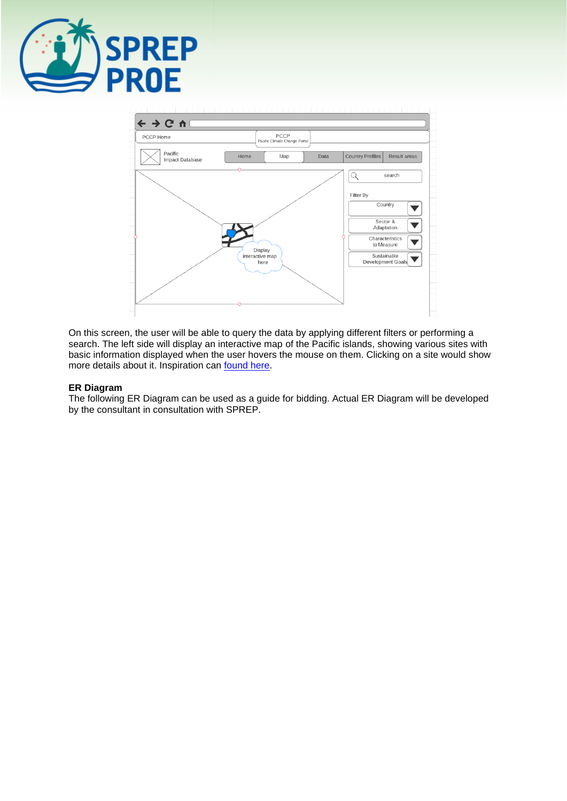



On this screen, the user will be able to query the data by applying different filters or performing a search. The left side will display an interactive map of the Pacific islands, showing various sites with basic information displayed when the user hovers the mouse on them. Clicking on a site would show more details about it. Inspiration can [found here.](https://impactdatabase.eu/explore/)

## **ER Diagram**

The following ER Diagram can be used as a guide for bidding. Actual ER Diagram will be developed by the consultant in consultation with SPREP.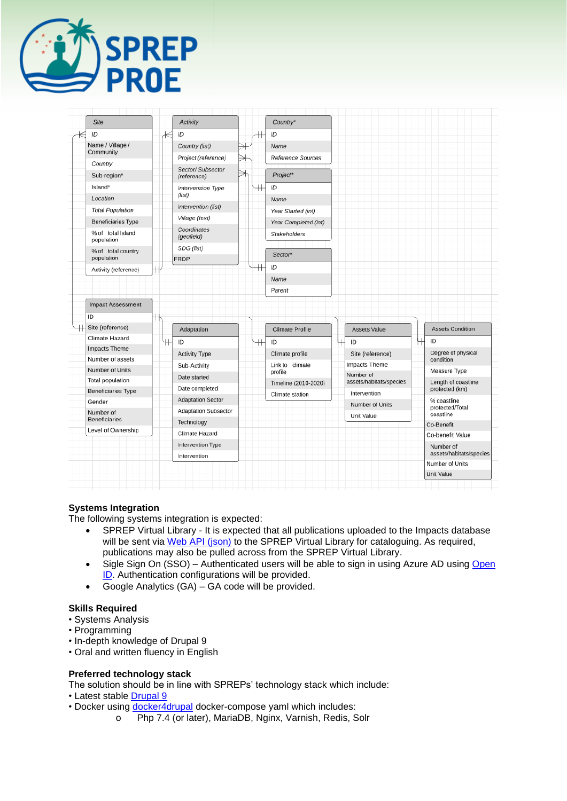

| Site                                |   | Activity                         |   | Country*               |                               |                                            |
|-------------------------------------|---|----------------------------------|---|------------------------|-------------------------------|--------------------------------------------|
|                                     |   |                                  |   |                        |                               |                                            |
| ID                                  |   | ID                               |   | ID                     |                               |                                            |
| Name / Village /<br>Community       |   | Country (list)                   |   | Name                   |                               |                                            |
| Country                             |   | Project (reference)              | → | Reference Sources      |                               |                                            |
| Sub-region*                         |   | Sector/ Subsector<br>(reference) |   | Project*               |                               |                                            |
| Island*                             |   | Intervension Type                |   | ID                     |                               |                                            |
| Location                            |   | (list)                           |   | Name                   |                               |                                            |
| <b>Total Population</b>             |   | Intervention (list)              |   | Year Started (int)     |                               |                                            |
| <b>Beneficiaries Type</b>           |   | Village (text)                   |   | Year Completed (int)   |                               |                                            |
| % of total Island                   |   | Coordinates<br>(geofield)        |   | Stakeholders           |                               |                                            |
| population                          |   | SDG (list)                       |   |                        |                               |                                            |
| % of total country<br>population    |   | <b>FRDP</b>                      |   | Sector*                |                               |                                            |
| Activity (reference)                |   |                                  |   | ID                     |                               |                                            |
|                                     |   |                                  |   | Name                   |                               |                                            |
|                                     |   |                                  |   |                        |                               |                                            |
| <b>Impact Assessment</b>            |   |                                  |   | Parent                 |                               |                                            |
| ID<br>Site (reference)              | т | Adaptation                       |   | <b>Climate Profile</b> | <b>Assets Value</b>           | <b>Assets Condition</b>                    |
| Climate Hazard                      |   | ID                               |   | ID                     | ID                            | ID                                         |
| Impacts Theme                       |   | Activity Type                    |   | Climate profile        | Site (reference)              | Degree of physical                         |
| Number of assets                    |   | Sub-Activity                     |   | Link to climate        | Impacts Theme                 | condition                                  |
| Number of Units                     |   | Date started                     |   | profile                | Number of                     | Measure Type                               |
| Total population                    |   | Date completed                   |   | Timeline (2010-2020)   | assets/habitats/species       | Length of coastline<br>protected (km)      |
| <b>Beneficiaries Type</b><br>Gender |   | <b>Adaptation Sector</b>         |   | Climate station        | Intervention                  | % coastline                                |
| Number of                           |   | Adaptation Subsector             |   |                        | Number of Units<br>Unit Value | protected/Total<br>coastline               |
| <b>Beneficiaries</b>                |   | Technology                       |   |                        |                               | Co-Benefit                                 |
| Level of Ownership                  |   | Climate Hazard                   |   |                        |                               | Co-benefit Value                           |
|                                     |   | Intervention Type                |   |                        |                               | Number of                                  |
|                                     |   | Intervention                     |   |                        |                               | assets/habitats/species<br>Number of Units |

## **Systems Integration**

The following systems integration is expected:

- SPREP Virtual Library It is expected that all publications uploaded to the Impacts database will be sent via [Web API](https://library.sprep.org/jsonapi/node/ctr) (json) to the SPREP Virtual Library for cataloguing. As required, publications may also be pulled across from the SPREP Virtual Library.
- Sigle Sign On (SSO) Authenticated users will be able to sign in using Azure AD using Open **ID**. Authentication configurations will be provided.
- Google Analytics (GA) GA code will be provided.

## **Skills Required**

- Systems Analysis
- Programming
- In-depth knowledge of Drupal 9
- Oral and written fluency in English

## **Preferred technology stack**

The solution should be in line with SPREPs' technology stack which include:

• Latest stable [Drupal 9](https://www.drupal.org/project/drupal/)

- Docker using [docker4drupal](https://github.com/Wodby/docker4drupal) docker-compose yaml which includes:
	- o Php 7.4 (or later), MariaDB, Nginx, Varnish, Redis, Solr